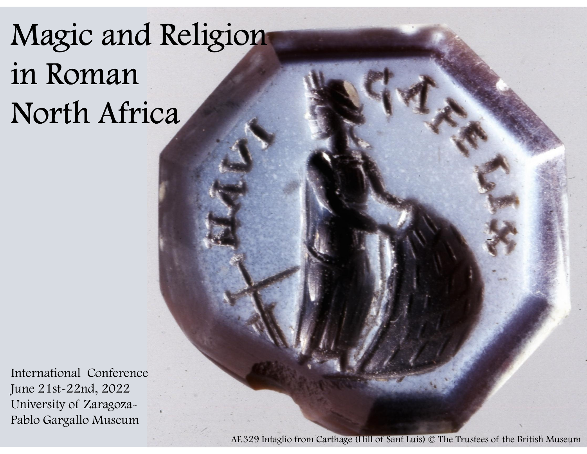# Magic and Religion Magic and Religion<br>in Roman North Africa

International Conference June 21st-22nd, 2022 International Conference<br>
June 21st-22nd, 2022<br>
University of Zaragoza-<br>
Pablo Gargallo Museum<br>
AF.329 Intaglio from Pablo Gargallo Museum

AF.329 Intaglio from Carthage (Hill of Sant Luis) © The Trustees of the British Museum